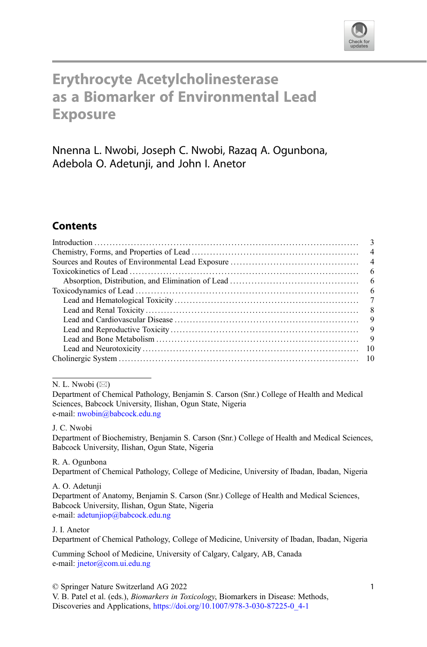

# Erythrocyte Acetylcholinesterase as a Biomarker of Environmental Lead **Exposure**

Nnenna L. Nwobi, Joseph C. Nwobi, Razaq A. Ogunbona, Adebola O. Adetunii, and John I. Anetor

# **Contents**

| $\overline{4}$ |
|----------------|
|                |
|                |
|                |
|                |
|                |
| - 8            |
| - 9            |
| - 9            |
| - 9            |
|                |
|                |
|                |

N. L. Nwobi  $(\boxtimes)$ 

Department of Chemical Pathology, Benjamin S. Carson (Snr.) College of Health and Medical Sciences, Babcock University, Ilishan, Ogun State, Nigeria e-mail: [nwobin@babcock.edu.ng](mailto:nwobin@babcock.edu.ng)

J. C. Nwobi

Department of Biochemistry, Benjamin S. Carson (Snr.) College of Health and Medical Sciences, Babcock University, Ilishan, Ogun State, Nigeria

R. A. Ogunbona Department of Chemical Pathology, College of Medicine, University of Ibadan, Ibadan, Nigeria

A. O. Adetunji Department of Anatomy, Benjamin S. Carson (Snr.) College of Health and Medical Sciences, Babcock University, Ilishan, Ogun State, Nigeria e-mail: [adetunjiop@babcock.edu.ng](mailto:adetunjiop@babcock.edu.ng)

J. I. Anetor

Department of Chemical Pathology, College of Medicine, University of Ibadan, Ibadan, Nigeria

Cumming School of Medicine, University of Calgary, Calgary, AB, Canada e-mail: [jnetor@com.ui.edu.ng](mailto:jnetor@com.ui.edu.ng)

© Springer Nature Switzerland AG 2022

V. B. Patel et al. (eds.), Biomarkers in Toxicology, Biomarkers in Disease: Methods, Discoveries and Applications, [https://doi.org/10.1007/978-3-030-87225-0\\_4-1](https://doi.org/10.1007/978-3-030-87225-0_4-1#DOI)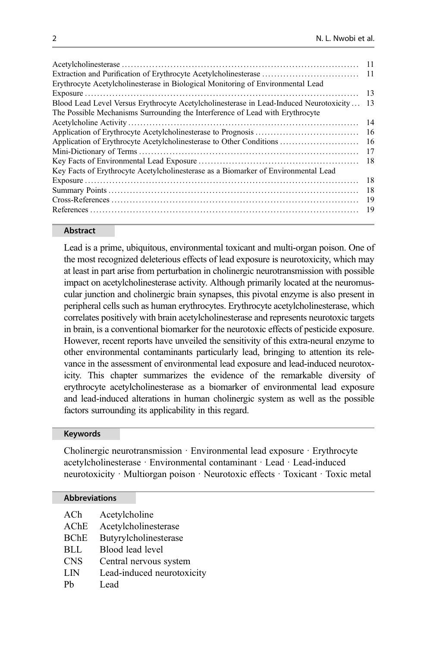|                                                                                        | -11 |
|----------------------------------------------------------------------------------------|-----|
|                                                                                        | -11 |
| Erythrocyte Acetylcholinesterase in Biological Monitoring of Environmental Lead        |     |
|                                                                                        | 13  |
| Blood Lead Level Versus Erythrocyte Acetylcholinesterase in Lead-Induced Neurotoxicity | 13  |
| The Possible Mechanisms Surrounding the Interference of Lead with Erythrocyte          |     |
|                                                                                        | 14  |
|                                                                                        | 16  |
| Application of Erythrocyte Acetylcholinesterase to Other Conditions                    | 16  |
|                                                                                        | 17  |
|                                                                                        | 18  |
| Key Facts of Erythrocyte Acetylcholinesterase as a Biomarker of Environmental Lead     |     |
|                                                                                        | 18  |
|                                                                                        | 18  |
|                                                                                        | 19  |
|                                                                                        | 19  |
|                                                                                        |     |

#### Abstract

Lead is a prime, ubiquitous, environmental toxicant and multi-organ poison. One of the most recognized deleterious effects of lead exposure is neurotoxicity, which may at least in part arise from perturbation in cholinergic neurotransmission with possible impact on acetylcholinesterase activity. Although primarily located at the neuromuscular junction and cholinergic brain synapses, this pivotal enzyme is also present in peripheral cells such as human erythrocytes. Erythrocyte acetylcholinesterase, which correlates positively with brain acetylcholinesterase and represents neurotoxic targets in brain, is a conventional biomarker for the neurotoxic effects of pesticide exposure. However, recent reports have unveiled the sensitivity of this extra-neural enzyme to other environmental contaminants particularly lead, bringing to attention its relevance in the assessment of environmental lead exposure and lead-induced neurotoxicity. This chapter summarizes the evidence of the remarkable diversity of erythrocyte acetylcholinesterase as a biomarker of environmental lead exposure and lead-induced alterations in human cholinergic system as well as the possible factors surrounding its applicability in this regard.

#### Keywords

Cholinergic neurotransmission · Environmental lead exposure · Erythrocyte acetylcholinesterase · Environmental contaminant · Lead · Lead-induced neurotoxicity · Multiorgan poison · Neurotoxic effects · Toxicant · Toxic metal

#### Abbreviations

ACh Acetylcholine AChE Acetylcholinesterase BChE Butyrylcholinesterase BLL Blood lead level CNS Central nervous system LIN Lead-induced neurotoxicity Ph<sub>ead</sub>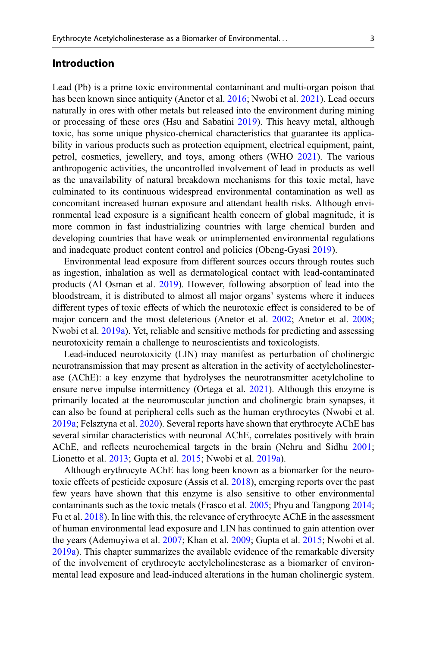#### Introduction

Lead (Pb) is a prime toxic environmental contaminant and multi-organ poison that has been known since antiquity (Anetor et al. [2016](#page-18-0); Nwobi et al. [2021\)](#page-20-0). Lead occurs naturally in ores with other metals but released into the environment during mining or processing of these ores (Hsu and Sabatini [2019\)](#page-20-0). This heavy metal, although toxic, has some unique physico-chemical characteristics that guarantee its applicability in various products such as protection equipment, electrical equipment, paint, petrol, cosmetics, jewellery, and toys, among others (WHO [2021](#page-22-0)). The various anthropogenic activities, the uncontrolled involvement of lead in products as well as the unavailability of natural breakdown mechanisms for this toxic metal, have culminated to its continuous widespread environmental contamination as well as concomitant increased human exposure and attendant health risks. Although environmental lead exposure is a significant health concern of global magnitude, it is more common in fast industrializing countries with large chemical burden and developing countries that have weak or unimplemented environmental regulations and inadequate product content control and policies (Obeng-Gyasi [2019\)](#page-21-0).

Environmental lead exposure from different sources occurs through routes such as ingestion, inhalation as well as dermatological contact with lead-contaminated products (Al Osman et al. [2019\)](#page-18-0). However, following absorption of lead into the bloodstream, it is distributed to almost all major organs' systems where it induces different types of toxic effects of which the neurotoxic effect is considered to be of major concern and the most deleterious (Anetor et al. [2002](#page-18-0); Anetor et al. [2008;](#page-18-0) Nwobi et al. [2019a\)](#page-20-0). Yet, reliable and sensitive methods for predicting and assessing neurotoxicity remain a challenge to neuroscientists and toxicologists.

Lead-induced neurotoxicity (LIN) may manifest as perturbation of cholinergic neurotransmission that may present as alteration in the activity of acetylcholinesterase (AChE): a key enzyme that hydrolyses the neurotransmitter acetylcholine to ensure nerve impulse intermittency (Ortega et al. [2021\)](#page-21-0). Although this enzyme is primarily located at the neuromuscular junction and cholinergic brain synapses, it can also be found at peripheral cells such as the human erythrocytes (Nwobi et al. [2019a](#page-20-0); Felsztyna et al. [2020\)](#page-19-0). Several reports have shown that erythrocyte AChE has several similar characteristics with neuronal AChE, correlates positively with brain AChE, and reflects neurochemical targets in the brain (Nehru and Sidhu [2001;](#page-20-0) Lionetto et al. [2013](#page-20-0); Gupta et al. [2015;](#page-19-0) Nwobi et al. [2019a\)](#page-20-0).

Although erythrocyte AChE has long been known as a biomarker for the neurotoxic effects of pesticide exposure (Assis et al. [2018](#page-19-0)), emerging reports over the past few years have shown that this enzyme is also sensitive to other environmental contaminants such as the toxic metals (Frasco et al. [2005;](#page-19-0) Phyu and Tangpong [2014;](#page-21-0) Fu et al. [2018\)](#page-19-0). In line with this, the relevance of erythrocyte AChE in the assessment of human environmental lead exposure and LIN has continued to gain attention over the years (Ademuyiwa et al. [2007](#page-18-0); Khan et al. [2009](#page-20-0); Gupta et al. [2015;](#page-19-0) Nwobi et al. [2019a](#page-20-0)). This chapter summarizes the available evidence of the remarkable diversity of the involvement of erythrocyte acetylcholinesterase as a biomarker of environmental lead exposure and lead-induced alterations in the human cholinergic system.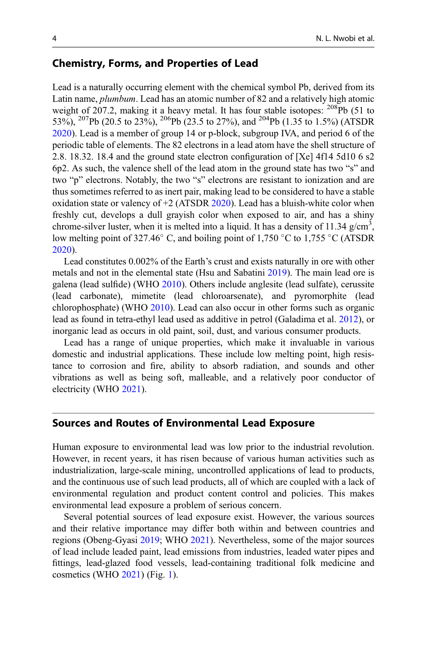## Chemistry, Forms, and Properties of Lead

Lead is a naturally occurring element with the chemical symbol Pb, derived from its Latin name, *plumbum*. Lead has an atomic number of 82 and a relatively high atomic weight of 207.2, making it a heavy metal. It has four stable isotopes:  $^{208}Pb(51)$  to 53%), <sup>207</sup>Pb (20.5 to 23%), <sup>206</sup>Pb (23.5 to 27%), and <sup>204</sup>Pb (1.35 to 1.5%) (ATSDR [2020\)](#page-18-0). Lead is a member of group 14 or p-block, subgroup IVA, and period 6 of the periodic table of elements. The 82 electrons in a lead atom have the shell structure of 2.8. 18.32. 18.4 and the ground state electron configuration of [Xe] 4f14 5d10 6 s2 6p2. As such, the valence shell of the lead atom in the ground state has two "s" and two "p" electrons. Notably, the two "s" electrons are resistant to ionization and are thus sometimes referred to as inert pair, making lead to be considered to have a stable oxidation state or valency of  $+2$  (ATSDR [2020\)](#page-18-0). Lead has a bluish-white color when freshly cut, develops a dull grayish color when exposed to air, and has a shiny chrome-silver luster, when it is melted into a liquid. It has a density of 11.34  $g/cm^3$ , low melting point of 327.46 $\degree$  C, and boiling point of 1,750  $\degree$ C to 1,755  $\degree$ C (ATSDR [2020\)](#page-18-0).

Lead constitutes 0.002% of the Earth's crust and exists naturally in ore with other metals and not in the elemental state (Hsu and Sabatini [2019\)](#page-20-0). The main lead ore is galena (lead sulfide) (WHO [2010\)](#page-22-0). Others include anglesite (lead sulfate), cerussite (lead carbonate), mimetite (lead chloroarsenate), and pyromorphite (lead chlorophosphate) (WHO [2010\)](#page-22-0). Lead can also occur in other forms such as organic lead as found in tetra-ethyl lead used as additive in petrol (Galadima et al. [2012](#page-19-0)), or inorganic lead as occurs in old paint, soil, dust, and various consumer products.

Lead has a range of unique properties, which make it invaluable in various domestic and industrial applications. These include low melting point, high resistance to corrosion and fire, ability to absorb radiation, and sounds and other vibrations as well as being soft, malleable, and a relatively poor conductor of electricity (WHO [2021\)](#page-22-0).

#### Sources and Routes of Environmental Lead Exposure

Human exposure to environmental lead was low prior to the industrial revolution. However, in recent years, it has risen because of various human activities such as industrialization, large-scale mining, uncontrolled applications of lead to products, and the continuous use of such lead products, all of which are coupled with a lack of environmental regulation and product content control and policies. This makes environmental lead exposure a problem of serious concern.

Several potential sources of lead exposure exist. However, the various sources and their relative importance may differ both within and between countries and regions (Obeng-Gyasi [2019](#page-21-0); WHO [2021](#page-22-0)). Nevertheless, some of the major sources of lead include leaded paint, lead emissions from industries, leaded water pipes and fittings, lead-glazed food vessels, lead-containing traditional folk medicine and cosmetics (WHO [2021](#page-22-0)) (Fig. [1\)](#page-4-0).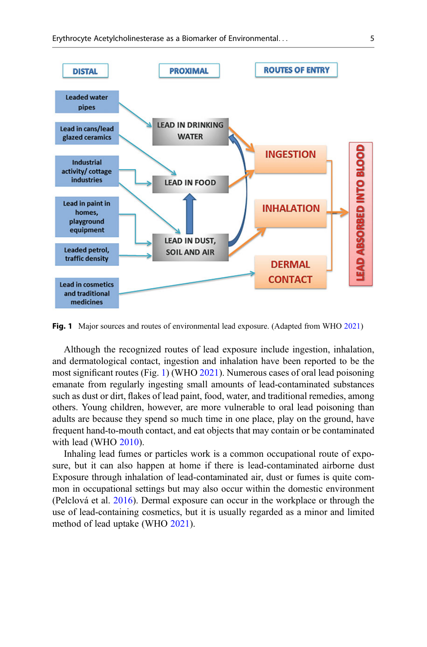<span id="page-4-0"></span>

Fig. 1 Major sources and routes of environmental lead exposure. (Adapted from WHO [2021](#page-22-0))

Although the recognized routes of lead exposure include ingestion, inhalation, and dermatological contact, ingestion and inhalation have been reported to be the most significant routes (Fig. 1) (WHO [2021\)](#page-22-0). Numerous cases of oral lead poisoning emanate from regularly ingesting small amounts of lead-contaminated substances such as dust or dirt, flakes of lead paint, food, water, and traditional remedies, among others. Young children, however, are more vulnerable to oral lead poisoning than adults are because they spend so much time in one place, play on the ground, have frequent hand-to-mouth contact, and eat objects that may contain or be contaminated with lead (WHO [2010](#page-22-0)).

Inhaling lead fumes or particles work is a common occupational route of exposure, but it can also happen at home if there is lead-contaminated airborne dust Exposure through inhalation of lead-contaminated air, dust or fumes is quite common in occupational settings but may also occur within the domestic environment (Pelclová et al. [2016\)](#page-21-0). Dermal exposure can occur in the workplace or through the use of lead-containing cosmetics, but it is usually regarded as a minor and limited method of lead uptake (WHO [2021](#page-22-0)).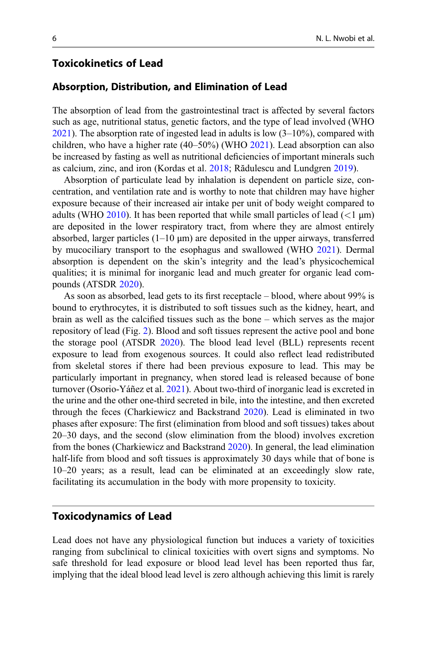# Toxicokinetics of Lead

#### Absorption, Distribution, and Elimination of Lead

The absorption of lead from the gastrointestinal tract is affected by several factors such as age, nutritional status, genetic factors, and the type of lead involved (WHO  $2021$ ). The absorption rate of ingested lead in adults is low  $(3-10\%)$ , compared with children, who have a higher rate (40–50%) (WHO [2021\)](#page-22-0). Lead absorption can also be increased by fasting as well as nutritional deficiencies of important minerals such as calcium, zinc, and iron (Kordas et al. [2018;](#page-20-0) Rădulescu and Lundgren [2019\)](#page-21-0).

Absorption of particulate lead by inhalation is dependent on particle size, concentration, and ventilation rate and is worthy to note that children may have higher exposure because of their increased air intake per unit of body weight compared to adults (WHO [2010\)](#page-22-0). It has been reported that while small particles of lead  $(<1 \mu m)$ are deposited in the lower respiratory tract, from where they are almost entirely absorbed, larger particles  $(1-10 \mu m)$  are deposited in the upper airways, transferred by mucociliary transport to the esophagus and swallowed (WHO [2021](#page-22-0)). Dermal absorption is dependent on the skin's integrity and the lead's physicochemical qualities; it is minimal for inorganic lead and much greater for organic lead compounds (ATSDR [2020\)](#page-18-0).

As soon as absorbed, lead gets to its first receptacle – blood, where about 99% is bound to erythrocytes, it is distributed to soft tissues such as the kidney, heart, and brain as well as the calcified tissues such as the bone – which serves as the major repository of lead (Fig. [2](#page-6-0)). Blood and soft tissues represent the active pool and bone the storage pool (ATSDR [2020](#page-18-0)). The blood lead level (BLL) represents recent exposure to lead from exogenous sources. It could also reflect lead redistributed from skeletal stores if there had been previous exposure to lead. This may be particularly important in pregnancy, when stored lead is released because of bone turnover (Osorio-Yáñez et al. [2021](#page-21-0)). About two-third of inorganic lead is excreted in the urine and the other one-third secreted in bile, into the intestine, and then excreted through the feces (Charkiewicz and Backstrand [2020\)](#page-19-0). Lead is eliminated in two phases after exposure: The first (elimination from blood and soft tissues) takes about 20–30 days, and the second (slow elimination from the blood) involves excretion from the bones (Charkiewicz and Backstrand [2020\)](#page-19-0). In general, the lead elimination half-life from blood and soft tissues is approximately 30 days while that of bone is 10–20 years; as a result, lead can be eliminated at an exceedingly slow rate, facilitating its accumulation in the body with more propensity to toxicity.

## Toxicodynamics of Lead

Lead does not have any physiological function but induces a variety of toxicities ranging from subclinical to clinical toxicities with overt signs and symptoms. No safe threshold for lead exposure or blood lead level has been reported thus far, implying that the ideal blood lead level is zero although achieving this limit is rarely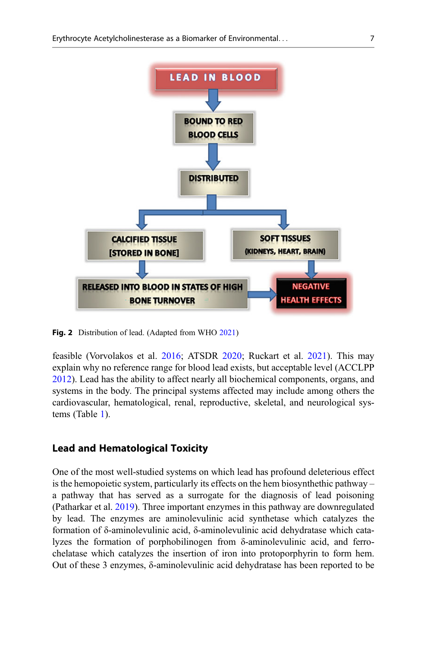<span id="page-6-0"></span>

Fig. 2 Distribution of lead. (Adapted from WHO [2021\)](#page-22-0)

feasible (Vorvolakos et al. [2016](#page-22-0); ATSDR [2020;](#page-18-0) Ruckart et al. [2021\)](#page-21-0). This may explain why no reference range for blood lead exists, but acceptable level (ACCLPP [2012\)](#page-18-0). Lead has the ability to affect nearly all biochemical components, organs, and systems in the body. The principal systems affected may include among others the cardiovascular, hematological, renal, reproductive, skeletal, and neurological systems (Table [1](#page-7-0)).

## Lead and Hematological Toxicity

One of the most well-studied systems on which lead has profound deleterious effect is the hemopoietic system, particularly its effects on the hem biosynthethic pathway – a pathway that has served as a surrogate for the diagnosis of lead poisoning (Patharkar et al. [2019\)](#page-21-0). Three important enzymes in this pathway are downregulated by lead. The enzymes are aminolevulinic acid synthetase which catalyzes the formation of δ-aminolevulinic acid, δ-aminolevulinic acid dehydratase which catalyzes the formation of porphobilinogen from δ-aminolevulinic acid, and ferrochelatase which catalyzes the insertion of iron into protoporphyrin to form hem. Out of these 3 enzymes, δ-aminolevulinic acid dehydratase has been reported to be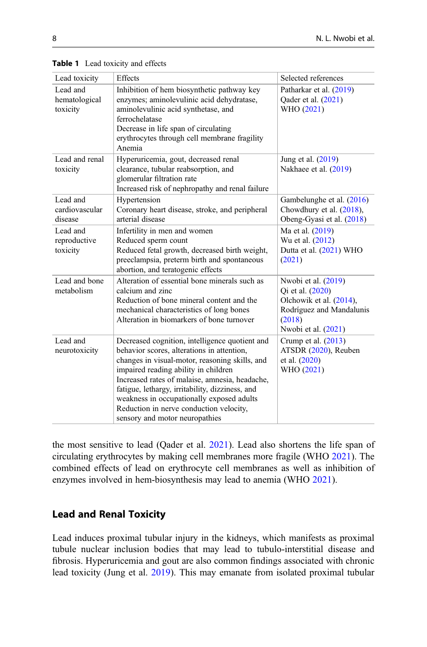| Lead toxicity                         | Effects                                                                                                                                                                                                                                                                                                                                                                                                               | Selected references                                                                                                             |
|---------------------------------------|-----------------------------------------------------------------------------------------------------------------------------------------------------------------------------------------------------------------------------------------------------------------------------------------------------------------------------------------------------------------------------------------------------------------------|---------------------------------------------------------------------------------------------------------------------------------|
| Lead and<br>hematological<br>toxicity | Inhibition of hem biosynthetic pathway key<br>enzymes; aminolevulinic acid dehydratase,<br>aminolevulinic acid synthetase, and<br>ferrochelatase<br>Decrease in life span of circulating<br>erythrocytes through cell membrane fragility<br>Anemia                                                                                                                                                                    | Patharkar et al. (2019)<br>Qader et al. (2021)<br>WHO (2021)                                                                    |
| Lead and renal<br>toxicity            | Hyperuricemia, gout, decreased renal<br>clearance, tubular reabsorption, and<br>glomerular filtration rate<br>Increased risk of nephropathy and renal failure                                                                                                                                                                                                                                                         | Jung et al. (2019)<br>Nakhaee et al. (2019)                                                                                     |
| Lead and<br>cardiovascular<br>disease | Hypertension<br>Coronary heart disease, stroke, and peripheral<br>arterial disease                                                                                                                                                                                                                                                                                                                                    | Gambelunghe et al. (2016)<br>Chowdhury et al. (2018),<br>Obeng-Gyasi et al. (2018)                                              |
| Lead and<br>reproductive<br>toxicity  | Infertility in men and women<br>Reduced sperm count<br>Reduced fetal growth, decreased birth weight,<br>preeclampsia, preterm birth and spontaneous<br>abortion, and teratogenic effects                                                                                                                                                                                                                              | Ma et al. (2019)<br>Wu et al. (2012)<br>Dutta et al. (2021) WHO<br>(2021)                                                       |
| Lead and bone<br>metabolism           | Alteration of essential bone minerals such as<br>calcium and zinc<br>Reduction of bone mineral content and the<br>mechanical characteristics of long bones<br>Alteration in biomarkers of bone turnover                                                                                                                                                                                                               | Nwobi et al. (2019)<br>Qi et al. (2020)<br>Olchowik et al. (2014),<br>Rodríguez and Mandalunis<br>(2018)<br>Nwobi et al. (2021) |
| Lead and<br>neurotoxicity             | Decreased cognition, intelligence quotient and<br>behavior scores, alterations in attention,<br>changes in visual-motor, reasoning skills, and<br>impaired reading ability in children<br>Increased rates of malaise, amnesia, headache,<br>fatigue, lethargy, irritability, dizziness, and<br>weakness in occupationally exposed adults<br>Reduction in nerve conduction velocity,<br>sensory and motor neuropathies | Crump et al. (2013)<br>ATSDR (2020), Reuben<br>et al. (2020)<br>WHO (2021)                                                      |

<span id="page-7-0"></span>Table 1 Lead toxicity and effects

the most sensitive to lead (Qader et al. [2021](#page-21-0)). Lead also shortens the life span of circulating erythrocytes by making cell membranes more fragile (WHO [2021\)](#page-22-0). The combined effects of lead on erythrocyte cell membranes as well as inhibition of enzymes involved in hem-biosynthesis may lead to anemia (WHO [2021\)](#page-22-0).

## Lead and Renal Toxicity

Lead induces proximal tubular injury in the kidneys, which manifests as proximal tubule nuclear inclusion bodies that may lead to tubulo-interstitial disease and fibrosis. Hyperuricemia and gout are also common findings associated with chronic lead toxicity (Jung et al. [2019\)](#page-20-0). This may emanate from isolated proximal tubular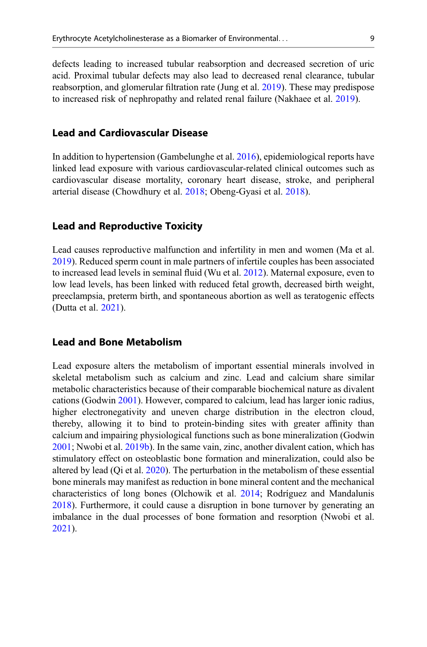defects leading to increased tubular reabsorption and decreased secretion of uric acid. Proximal tubular defects may also lead to decreased renal clearance, tubular reabsorption, and glomerular filtration rate (Jung et al. [2019\)](#page-20-0). These may predispose to increased risk of nephropathy and related renal failure (Nakhaee et al. [2019\)](#page-20-0).

## Lead and Cardiovascular Disease

In addition to hypertension (Gambelunghe et al. [2016\)](#page-19-0), epidemiological reports have linked lead exposure with various cardiovascular-related clinical outcomes such as cardiovascular disease mortality, coronary heart disease, stroke, and peripheral arterial disease (Chowdhury et al. [2018;](#page-19-0) Obeng-Gyasi et al. [2018](#page-21-0)).

#### Lead and Reproductive Toxicity

Lead causes reproductive malfunction and infertility in men and women (Ma et al. [2019\)](#page-20-0). Reduced sperm count in male partners of infertile couples has been associated to increased lead levels in seminal fluid (Wu et al. [2012\)](#page-22-0). Maternal exposure, even to low lead levels, has been linked with reduced fetal growth, decreased birth weight, preeclampsia, preterm birth, and spontaneous abortion as well as teratogenic effects (Dutta et al. [2021\)](#page-19-0).

#### Lead and Bone Metabolism

Lead exposure alters the metabolism of important essential minerals involved in skeletal metabolism such as calcium and zinc. Lead and calcium share similar metabolic characteristics because of their comparable biochemical nature as divalent cations (Godwin [2001\)](#page-19-0). However, compared to calcium, lead has larger ionic radius, higher electronegativity and uneven charge distribution in the electron cloud, thereby, allowing it to bind to protein-binding sites with greater affinity than calcium and impairing physiological functions such as bone mineralization (Godwin [2001;](#page-19-0) Nwobi et al. [2019b\)](#page-20-0). In the same vain, zinc, another divalent cation, which has stimulatory effect on osteoblastic bone formation and mineralization, could also be altered by lead (Qi et al. [2020](#page-21-0)). The perturbation in the metabolism of these essential bone minerals may manifest as reduction in bone mineral content and the mechanical characteristics of long bones (Olchowik et al. [2014;](#page-21-0) Rodríguez and Mandalunis [2018\)](#page-21-0). Furthermore, it could cause a disruption in bone turnover by generating an imbalance in the dual processes of bone formation and resorption (Nwobi et al. [2021\)](#page-20-0).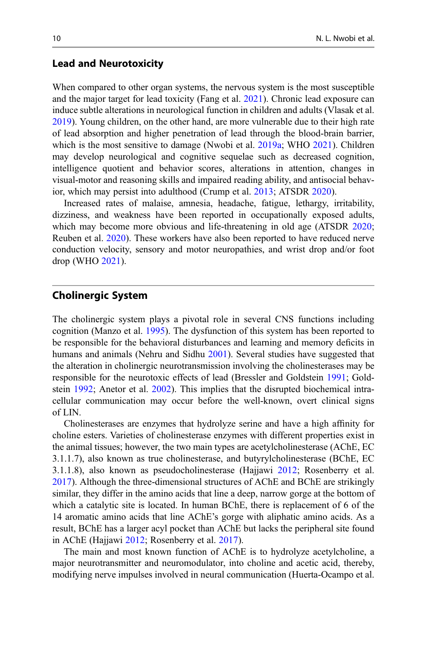#### Lead and Neurotoxicity

When compared to other organ systems, the nervous system is the most susceptible and the major target for lead toxicity (Fang et al. [2021\)](#page-19-0). Chronic lead exposure can induce subtle alterations in neurological function in children and adults (Vlasak et al. [2019\)](#page-22-0). Young children, on the other hand, are more vulnerable due to their high rate of lead absorption and higher penetration of lead through the blood-brain barrier, which is the most sensitive to damage (Nwobi et al. [2019a;](#page-20-0) WHO [2021](#page-22-0)). Children may develop neurological and cognitive sequelae such as decreased cognition, intelligence quotient and behavior scores, alterations in attention, changes in visual-motor and reasoning skills and impaired reading ability, and antisocial behavior, which may persist into adulthood (Crump et al. [2013;](#page-19-0) ATSDR [2020](#page-18-0)).

Increased rates of malaise, amnesia, headache, fatigue, lethargy, irritability, dizziness, and weakness have been reported in occupationally exposed adults, which may become more obvious and life-threatening in old age (ATSDR [2020;](#page-18-0) Reuben et al. [2020\)](#page-21-0). These workers have also been reported to have reduced nerve conduction velocity, sensory and motor neuropathies, and wrist drop and/or foot drop (WHO [2021\)](#page-22-0).

## Cholinergic System

The cholinergic system plays a pivotal role in several CNS functions including cognition (Manzo et al. [1995\)](#page-20-0). The dysfunction of this system has been reported to be responsible for the behavioral disturbances and learning and memory deficits in humans and animals (Nehru and Sidhu [2001](#page-20-0)). Several studies have suggested that the alteration in cholinergic neurotransmission involving the cholinesterases may be responsible for the neurotoxic effects of lead (Bressler and Goldstein [1991](#page-19-0); Goldstein [1992;](#page-19-0) Anetor et al. [2002](#page-18-0)). This implies that the disrupted biochemical intracellular communication may occur before the well-known, overt clinical signs of LIN.

Cholinesterases are enzymes that hydrolyze serine and have a high affinity for choline esters. Varieties of cholinesterase enzymes with different properties exist in the animal tissues; however, the two main types are acetylcholinesterase (AChE, EC 3.1.1.7), also known as true cholinesterase, and butyrylcholinesterase (BChE, EC 3.1.1.8), also known as pseudocholinesterase (Hajjawi [2012;](#page-19-0) Rosenberry et al. [2017\)](#page-21-0). Although the three-dimensional structures of AChE and BChE are strikingly similar, they differ in the amino acids that line a deep, narrow gorge at the bottom of which a catalytic site is located. In human BChE, there is replacement of 6 of the 14 aromatic amino acids that line AChE's gorge with aliphatic amino acids. As a result, BChE has a larger acyl pocket than AChE but lacks the peripheral site found in AChE (Hajjawi [2012](#page-19-0); Rosenberry et al. [2017](#page-21-0)).

The main and most known function of AChE is to hydrolyze acetylcholine, a major neurotransmitter and neuromodulator, into choline and acetic acid, thereby, modifying nerve impulses involved in neural communication (Huerta-Ocampo et al.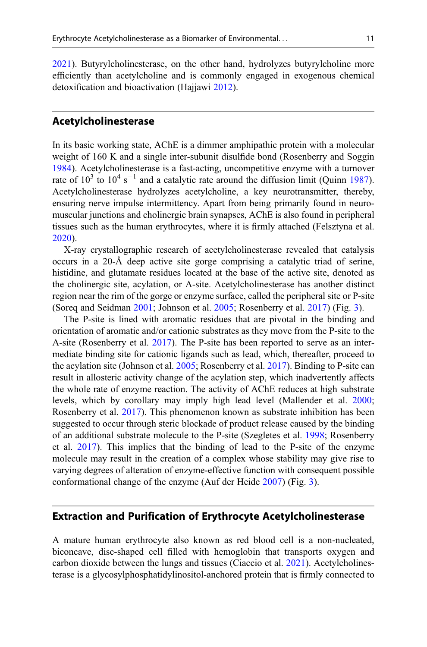[2021\)](#page-20-0). Butyrylcholinesterase, on the other hand, hydrolyzes butyrylcholine more efficiently than acetylcholine and is commonly engaged in exogenous chemical detoxification and bioactivation (Hajjawi [2012\)](#page-19-0).

#### Acetylcholinesterase

In its basic working state, AChE is a dimmer amphipathic protein with a molecular weight of 160 K and a single inter-subunit disulfide bond (Rosenberry and Soggin [1984\)](#page-21-0). Acetylcholinesterase is a fast-acting, uncompetitive enzyme with a turnover rate of  $10^3$  to  $10^4$  s<sup>-1</sup> and a catalytic rate around the diffusion limit (Quinn [1987\)](#page-21-0). Acetylcholinesterase hydrolyzes acetylcholine, a key neurotransmitter, thereby, ensuring nerve impulse intermittency. Apart from being primarily found in neuromuscular junctions and cholinergic brain synapses, AChE is also found in peripheral tissues such as the human erythrocytes, where it is firmly attached (Felsztyna et al. [2020\)](#page-19-0).

X-ray crystallographic research of acetylcholinesterase revealed that catalysis occurs in a 20-Å deep active site gorge comprising a catalytic triad of serine, histidine, and glutamate residues located at the base of the active site, denoted as the cholinergic site, acylation, or A-site. Acetylcholinesterase has another distinct region near the rim of the gorge or enzyme surface, called the peripheral site or P-site (Soreq and Seidman [2001](#page-22-0); Johnson et al. [2005;](#page-20-0) Rosenberry et al. [2017\)](#page-21-0) (Fig. [3](#page-11-0)).

The P-site is lined with aromatic residues that are pivotal in the binding and orientation of aromatic and/or cationic substrates as they move from the P-site to the A-site (Rosenberry et al. [2017\)](#page-21-0). The P-site has been reported to serve as an intermediate binding site for cationic ligands such as lead, which, thereafter, proceed to the acylation site (Johnson et al. [2005](#page-20-0); Rosenberry et al. [2017](#page-21-0)). Binding to P-site can result in allosteric activity change of the acylation step, which inadvertently affects the whole rate of enzyme reaction. The activity of AChE reduces at high substrate levels, which by corollary may imply high lead level (Mallender et al. [2000;](#page-20-0) Rosenberry et al. [2017](#page-21-0)). This phenomenon known as substrate inhibition has been suggested to occur through steric blockade of product release caused by the binding of an additional substrate molecule to the P-site (Szegletes et al. [1998](#page-22-0); Rosenberry et al. [2017](#page-21-0)). This implies that the binding of lead to the P-site of the enzyme molecule may result in the creation of a complex whose stability may give rise to varying degrees of alteration of enzyme-effective function with consequent possible conformational change of the enzyme (Auf der Heide [2007](#page-19-0)) (Fig. [3](#page-11-0)).

#### Extraction and Purification of Erythrocyte Acetylcholinesterase

A mature human erythrocyte also known as red blood cell is a non-nucleated, biconcave, disc-shaped cell filled with hemoglobin that transports oxygen and carbon dioxide between the lungs and tissues (Ciaccio et al. [2021\)](#page-19-0). Acetylcholinesterase is a glycosylphosphatidylinositol-anchored protein that is firmly connected to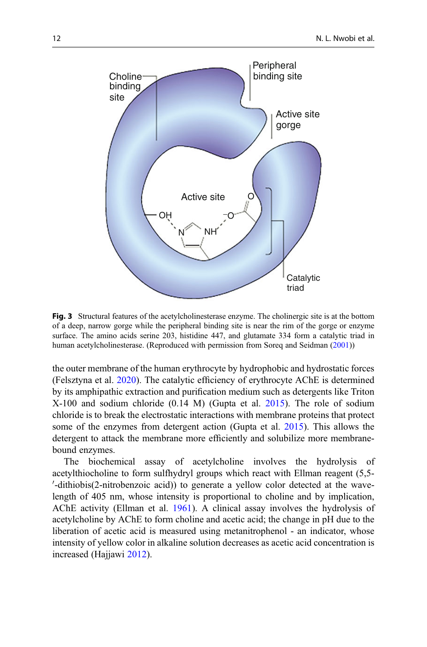<span id="page-11-0"></span>

Fig. 3 Structural features of the acetylcholinesterase enzyme. The cholinergic site is at the bottom of a deep, narrow gorge while the peripheral binding site is near the rim of the gorge or enzyme surface. The amino acids serine 203, histidine 447, and glutamate 334 form a catalytic triad in human acetylcholinesterase. (Reproduced with permission from Soreq and Seidman ([2001\)](#page-22-0))

the outer membrane of the human erythrocyte by hydrophobic and hydrostatic forces (Felsztyna et al. [2020](#page-19-0)). The catalytic efficiency of erythrocyte AChE is determined by its amphipathic extraction and purification medium such as detergents like Triton X-100 and sodium chloride (0.14 M) (Gupta et al. [2015](#page-19-0)). The role of sodium chloride is to break the electrostatic interactions with membrane proteins that protect some of the enzymes from detergent action (Gupta et al. [2015\)](#page-19-0). This allows the detergent to attack the membrane more efficiently and solubilize more membranebound enzymes.

The biochemical assay of acetylcholine involves the hydrolysis of acetylthiocholine to form sulfhydryl groups which react with Ellman reagent (5,5- 0 -dithiobis(2-nitrobenzoic acid)) to generate a yellow color detected at the wavelength of 405 nm, whose intensity is proportional to choline and by implication, AChE activity (Ellman et al. [1961\)](#page-19-0). A clinical assay involves the hydrolysis of acetylcholine by AChE to form choline and acetic acid; the change in pH due to the liberation of acetic acid is measured using metanitrophenol - an indicator, whose intensity of yellow color in alkaline solution decreases as acetic acid concentration is increased (Hajjawi [2012](#page-19-0)).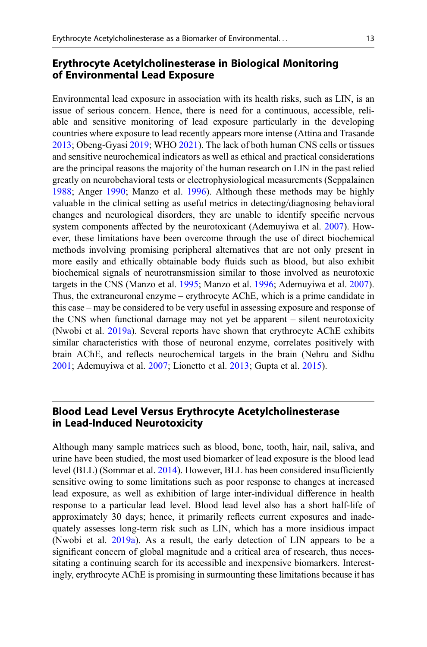## Erythrocyte Acetylcholinesterase in Biological Monitoring of Environmental Lead Exposure

Environmental lead exposure in association with its health risks, such as LIN, is an issue of serious concern. Hence, there is need for a continuous, accessible, reliable and sensitive monitoring of lead exposure particularly in the developing countries where exposure to lead recently appears more intense (Attina and Trasande [2013;](#page-19-0) Obeng-Gyasi [2019;](#page-21-0) WHO [2021](#page-22-0)). The lack of both human CNS cells or tissues and sensitive neurochemical indicators as well as ethical and practical considerations are the principal reasons the majority of the human research on LIN in the past relied greatly on neurobehavioral tests or electrophysiological measurements (Seppalainen [1988;](#page-21-0) Anger [1990](#page-19-0); Manzo et al. [1996](#page-20-0)). Although these methods may be highly valuable in the clinical setting as useful metrics in detecting/diagnosing behavioral changes and neurological disorders, they are unable to identify specific nervous system components affected by the neurotoxicant (Ademuyiwa et al. [2007](#page-18-0)). However, these limitations have been overcome through the use of direct biochemical methods involving promising peripheral alternatives that are not only present in more easily and ethically obtainable body fluids such as blood, but also exhibit biochemical signals of neurotransmission similar to those involved as neurotoxic targets in the CNS (Manzo et al. [1995](#page-20-0); Manzo et al. [1996;](#page-20-0) Ademuyiwa et al. [2007\)](#page-18-0). Thus, the extraneuronal enzyme – erythrocyte AChE, which is a prime candidate in this case – may be considered to be very useful in assessing exposure and response of the CNS when functional damage may not yet be apparent – silent neurotoxicity (Nwobi et al. [2019a](#page-20-0)). Several reports have shown that erythrocyte AChE exhibits similar characteristics with those of neuronal enzyme, correlates positively with brain AChE, and reflects neurochemical targets in the brain (Nehru and Sidhu [2001;](#page-20-0) Ademuyiwa et al. [2007;](#page-18-0) Lionetto et al. [2013;](#page-20-0) Gupta et al. [2015](#page-19-0)).

## Blood Lead Level Versus Erythrocyte Acetylcholinesterase in Lead-Induced Neurotoxicity

Although many sample matrices such as blood, bone, tooth, hair, nail, saliva, and urine have been studied, the most used biomarker of lead exposure is the blood lead level (BLL) (Sommar et al. [2014](#page-22-0)). However, BLL has been considered insufficiently sensitive owing to some limitations such as poor response to changes at increased lead exposure, as well as exhibition of large inter-individual difference in health response to a particular lead level. Blood lead level also has a short half-life of approximately 30 days; hence, it primarily reflects current exposures and inadequately assesses long-term risk such as LIN, which has a more insidious impact (Nwobi et al. [2019a](#page-20-0)). As a result, the early detection of LIN appears to be a significant concern of global magnitude and a critical area of research, thus necessitating a continuing search for its accessible and inexpensive biomarkers. Interestingly, erythrocyte AChE is promising in surmounting these limitations because it has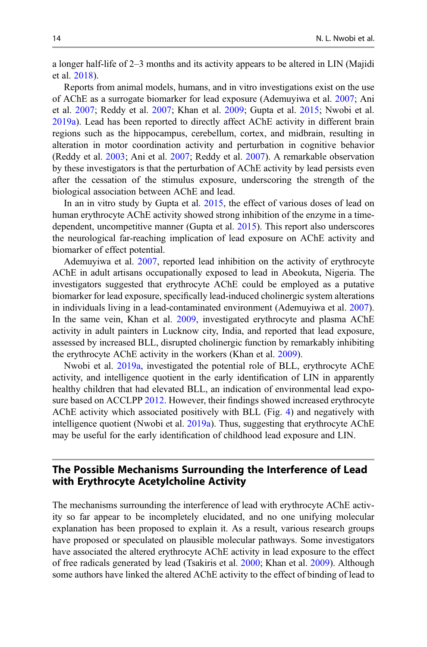a longer half-life of 2–3 months and its activity appears to be altered in LIN (Majidi et al. [2018](#page-20-0)).

Reports from animal models, humans, and in vitro investigations exist on the use of AChE as a surrogate biomarker for lead exposure (Ademuyiwa et al. [2007;](#page-18-0) Ani et al. [2007](#page-19-0); Reddy et al. [2007;](#page-21-0) Khan et al. [2009](#page-20-0); Gupta et al. [2015;](#page-19-0) Nwobi et al. [2019a](#page-20-0)). Lead has been reported to directly affect AChE activity in different brain regions such as the hippocampus, cerebellum, cortex, and midbrain, resulting in alteration in motor coordination activity and perturbation in cognitive behavior (Reddy et al. [2003;](#page-21-0) Ani et al. [2007](#page-19-0); Reddy et al. [2007\)](#page-21-0). A remarkable observation by these investigators is that the perturbation of AChE activity by lead persists even after the cessation of the stimulus exposure, underscoring the strength of the biological association between AChE and lead.

In an in vitro study by Gupta et al. [2015,](#page-19-0) the effect of various doses of lead on human erythrocyte AChE activity showed strong inhibition of the enzyme in a timedependent, uncompetitive manner (Gupta et al. [2015](#page-19-0)). This report also underscores the neurological far-reaching implication of lead exposure on AChE activity and biomarker of effect potential.

Ademuyiwa et al. [2007,](#page-18-0) reported lead inhibition on the activity of erythrocyte AChE in adult artisans occupationally exposed to lead in Abeokuta, Nigeria. The investigators suggested that erythrocyte AChE could be employed as a putative biomarker for lead exposure, specifically lead-induced cholinergic system alterations in individuals living in a lead-contaminated environment (Ademuyiwa et al. [2007\)](#page-18-0). In the same vein, Khan et al. [2009,](#page-20-0) investigated erythrocyte and plasma AChE activity in adult painters in Lucknow city, India, and reported that lead exposure, assessed by increased BLL, disrupted cholinergic function by remarkably inhibiting the erythrocyte AChE activity in the workers (Khan et al. [2009](#page-20-0)).

Nwobi et al. [2019a,](#page-20-0) investigated the potential role of BLL, erythrocyte AChE activity, and intelligence quotient in the early identification of LIN in apparently healthy children that had elevated BLL, an indication of environmental lead expo-sure based on ACCLPP [2012](#page-18-0). However, their findings showed increased erythrocyte AChE activity which associated positively with BLL (Fig. [4](#page-14-0)) and negatively with intelligence quotient (Nwobi et al. [2019a\)](#page-20-0). Thus, suggesting that erythrocyte AChE may be useful for the early identification of childhood lead exposure and LIN.

## The Possible Mechanisms Surrounding the Interference of Lead with Erythrocyte Acetylcholine Activity

The mechanisms surrounding the interference of lead with erythrocyte AChE activity so far appear to be incompletely elucidated, and no one unifying molecular explanation has been proposed to explain it. As a result, various research groups have proposed or speculated on plausible molecular pathways. Some investigators have associated the altered erythrocyte AChE activity in lead exposure to the effect of free radicals generated by lead (Tsakiris et al. [2000;](#page-22-0) Khan et al. [2009\)](#page-20-0). Although some authors have linked the altered AChE activity to the effect of binding of lead to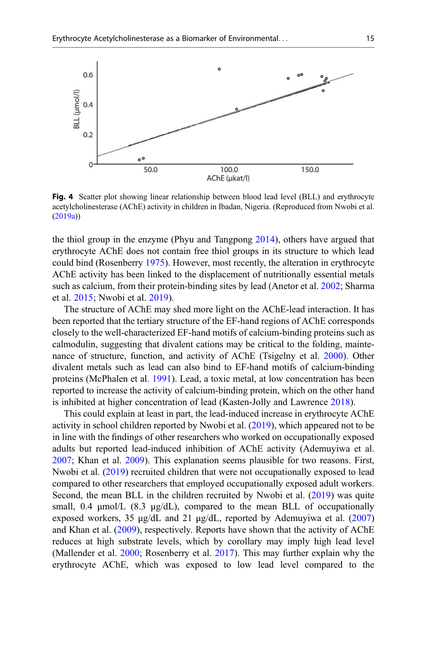<span id="page-14-0"></span>

Fig. 4 Scatter plot showing linear relationship between blood lead level (BLL) and erythrocyte acetylcholinesterase (AChE) activity in children in Ibadan, Nigeria. (Reproduced from Nwobi et al. ([2019a](#page-20-0)))

the thiol group in the enzyme (Phyu and Tangpong [2014](#page-21-0)), others have argued that erythrocyte AChE does not contain free thiol groups in its structure to which lead could bind (Rosenberry [1975\)](#page-21-0). However, most recently, the alteration in erythrocyte AChE activity has been linked to the displacement of nutritionally essential metals such as calcium, from their protein-binding sites by lead (Anetor et al. [2002](#page-18-0); Sharma et al. [2015](#page-22-0); Nwobi et al. [2019\)](#page-20-0).

The structure of AChE may shed more light on the AChE-lead interaction. It has been reported that the tertiary structure of the EF-hand regions of AChE corresponds closely to the well-characterized EF-hand motifs of calcium-binding proteins such as calmodulin, suggesting that divalent cations may be critical to the folding, maintenance of structure, function, and activity of AChE (Tsigelny et al. [2000](#page-22-0)). Other divalent metals such as lead can also bind to EF-hand motifs of calcium-binding proteins (McPhalen et al. [1991\)](#page-20-0). Lead, a toxic metal, at low concentration has been reported to increase the activity of calcium-binding protein, which on the other hand is inhibited at higher concentration of lead (Kasten-Jolly and Lawrence [2018\)](#page-20-0).

This could explain at least in part, the lead-induced increase in erythrocyte AChE activity in school children reported by Nwobi et al. [\(2019](#page-20-0)), which appeared not to be in line with the findings of other researchers who worked on occupationally exposed adults but reported lead-induced inhibition of AChE activity (Ademuyiwa et al. [2007;](#page-18-0) Khan et al. [2009\)](#page-20-0). This explanation seems plausible for two reasons. First, Nwobi et al. ([2019\)](#page-20-0) recruited children that were not occupationally exposed to lead compared to other researchers that employed occupationally exposed adult workers. Second, the mean BLL in the children recruited by Nwobi et al. ([2019\)](#page-20-0) was quite small, 0.4 μmol/L (8.3 μg/dL), compared to the mean BLL of occupationally exposed workers, 35 μg/dL and 21 μg/dL, reported by Ademuyiwa et al. [\(2007](#page-18-0)) and Khan et al. ([2009\)](#page-20-0), respectively. Reports have shown that the activity of AChE reduces at high substrate levels, which by corollary may imply high lead level (Mallender et al. [2000;](#page-20-0) Rosenberry et al. [2017](#page-21-0)). This may further explain why the erythrocyte AChE, which was exposed to low lead level compared to the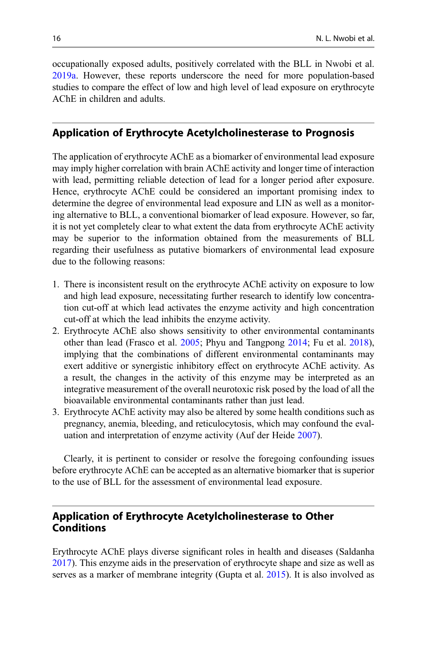occupationally exposed adults, positively correlated with the BLL in Nwobi et al. [2019a](#page-20-0). However, these reports underscore the need for more population-based studies to compare the effect of low and high level of lead exposure on erythrocyte AChE in children and adults.

## Application of Erythrocyte Acetylcholinesterase to Prognosis

The application of erythrocyte AChE as a biomarker of environmental lead exposure may imply higher correlation with brain AChE activity and longer time of interaction with lead, permitting reliable detection of lead for a longer period after exposure. Hence, erythrocyte AChE could be considered an important promising index to determine the degree of environmental lead exposure and LIN as well as a monitoring alternative to BLL, a conventional biomarker of lead exposure. However, so far, it is not yet completely clear to what extent the data from erythrocyte AChE activity may be superior to the information obtained from the measurements of BLL regarding their usefulness as putative biomarkers of environmental lead exposure due to the following reasons:

- 1. There is inconsistent result on the erythrocyte AChE activity on exposure to low and high lead exposure, necessitating further research to identify low concentration cut-off at which lead activates the enzyme activity and high concentration cut-off at which the lead inhibits the enzyme activity.
- 2. Erythrocyte AChE also shows sensitivity to other environmental contaminants other than lead (Frasco et al. [2005;](#page-19-0) Phyu and Tangpong [2014;](#page-21-0) Fu et al. [2018\)](#page-19-0), implying that the combinations of different environmental contaminants may exert additive or synergistic inhibitory effect on erythrocyte AChE activity. As a result, the changes in the activity of this enzyme may be interpreted as an integrative measurement of the overall neurotoxic risk posed by the load of all the bioavailable environmental contaminants rather than just lead.
- 3. Erythrocyte AChE activity may also be altered by some health conditions such as pregnancy, anemia, bleeding, and reticulocytosis, which may confound the evaluation and interpretation of enzyme activity (Auf der Heide [2007](#page-19-0)).

Clearly, it is pertinent to consider or resolve the foregoing confounding issues before erythrocyte AChE can be accepted as an alternative biomarker that is superior to the use of BLL for the assessment of environmental lead exposure.

# Application of Erythrocyte Acetylcholinesterase to Other Conditions

Erythrocyte AChE plays diverse significant roles in health and diseases (Saldanha [2017\)](#page-21-0). This enzyme aids in the preservation of erythrocyte shape and size as well as serves as a marker of membrane integrity (Gupta et al. [2015](#page-19-0)). It is also involved as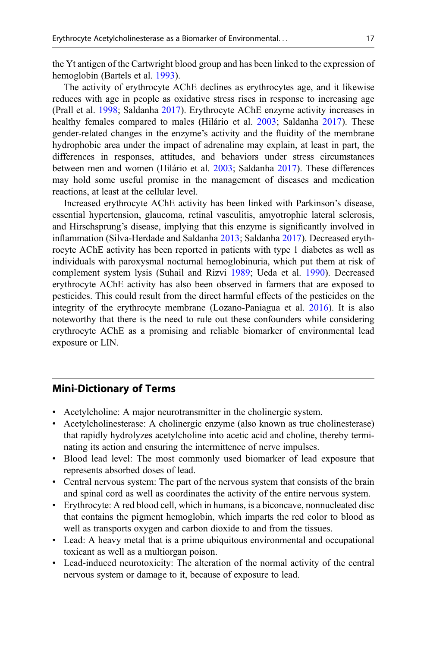the Yt antigen of the Cartwright blood group and has been linked to the expression of hemoglobin (Bartels et al. [1993](#page-19-0)).

The activity of erythrocyte AChE declines as erythrocytes age, and it likewise reduces with age in people as oxidative stress rises in response to increasing age (Prall et al. [1998](#page-21-0); Saldanha [2017](#page-21-0)). Erythrocyte AChE enzyme activity increases in healthy females compared to males (Hilário et al. [2003;](#page-20-0) Saldanha [2017\)](#page-21-0). These gender-related changes in the enzyme's activity and the fluidity of the membrane hydrophobic area under the impact of adrenaline may explain, at least in part, the differences in responses, attitudes, and behaviors under stress circumstances between men and women (Hilário et al. [2003;](#page-20-0) Saldanha [2017\)](#page-21-0). These differences may hold some useful promise in the management of diseases and medication reactions, at least at the cellular level.

Increased erythrocyte AChE activity has been linked with Parkinson's disease, essential hypertension, glaucoma, retinal vasculitis, amyotrophic lateral sclerosis, and Hirschsprung's disease, implying that this enzyme is significantly involved in inflammation (Silva-Herdade and Saldanha [2013;](#page-22-0) Saldanha [2017\)](#page-21-0). Decreased erythrocyte AChE activity has been reported in patients with type 1 diabetes as well as individuals with paroxysmal nocturnal hemoglobinuria, which put them at risk of complement system lysis (Suhail and Rizvi [1989;](#page-22-0) Ueda et al. [1990\)](#page-22-0). Decreased erythrocyte AChE activity has also been observed in farmers that are exposed to pesticides. This could result from the direct harmful effects of the pesticides on the integrity of the erythrocyte membrane (Lozano-Paniagua et al. [2016](#page-20-0)). It is also noteworthy that there is the need to rule out these confounders while considering erythrocyte AChE as a promising and reliable biomarker of environmental lead exposure or LIN.

## Mini-Dictionary of Terms

- Acetylcholine: A major neurotransmitter in the cholinergic system.
- Acetylcholinesterase: A cholinergic enzyme (also known as true cholinesterase) that rapidly hydrolyzes acetylcholine into acetic acid and choline, thereby terminating its action and ensuring the intermittence of nerve impulses.
- Blood lead level: The most commonly used biomarker of lead exposure that represents absorbed doses of lead.
- Central nervous system: The part of the nervous system that consists of the brain and spinal cord as well as coordinates the activity of the entire nervous system.
- Erythrocyte: A red blood cell, which in humans, is a biconcave, nonnucleated disc that contains the pigment hemoglobin, which imparts the red color to blood as well as transports oxygen and carbon dioxide to and from the tissues.
- Lead: A heavy metal that is a prime ubiquitous environmental and occupational toxicant as well as a multiorgan poison.
- Lead-induced neurotoxicity: The alteration of the normal activity of the central nervous system or damage to it, because of exposure to lead.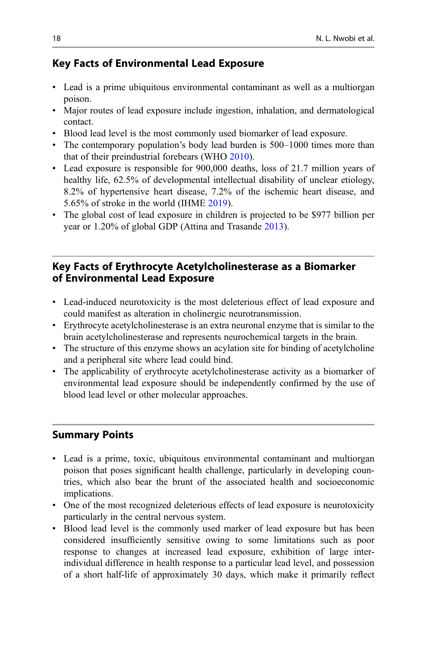# Key Facts of Environmental Lead Exposure

- Lead is a prime ubiquitous environmental contaminant as well as a multiorgan poison.
- Major routes of lead exposure include ingestion, inhalation, and dermatological contact.
- Blood lead level is the most commonly used biomarker of lead exposure.
- The contemporary population's body lead burden is 500–1000 times more than that of their preindustrial forebears (WHO [2010\)](#page-22-0).
- Lead exposure is responsible for 900,000 deaths, loss of 21.7 million years of healthy life, 62.5% of developmental intellectual disability of unclear etiology, 8.2% of hypertensive heart disease, 7.2% of the ischemic heart disease, and 5.65% of stroke in the world (IHME [2019](#page-20-0)).
- The global cost of lead exposure in children is projected to be \$977 billion per year or 1.20% of global GDP (Attina and Trasande [2013](#page-19-0)).

# Key Facts of Erythrocyte Acetylcholinesterase as a Biomarker of Environmental Lead Exposure

- Lead-induced neurotoxicity is the most deleterious effect of lead exposure and could manifest as alteration in cholinergic neurotransmission.
- Erythrocyte acetylcholinesterase is an extra neuronal enzyme that is similar to the brain acetylcholinesterase and represents neurochemical targets in the brain.
- The structure of this enzyme shows an acylation site for binding of acetylcholine and a peripheral site where lead could bind.
- The applicability of erythrocyte acetylcholinesterase activity as a biomarker of environmental lead exposure should be independently confirmed by the use of blood lead level or other molecular approaches.

# Summary Points

- Lead is a prime, toxic, ubiquitous environmental contaminant and multiorgan poison that poses significant health challenge, particularly in developing countries, which also bear the brunt of the associated health and socioeconomic implications.
- One of the most recognized deleterious effects of lead exposure is neurotoxicity particularly in the central nervous system.
- Blood lead level is the commonly used marker of lead exposure but has been considered insufficiently sensitive owing to some limitations such as poor response to changes at increased lead exposure, exhibition of large interindividual difference in health response to a particular lead level, and possession of a short half-life of approximately 30 days, which make it primarily reflect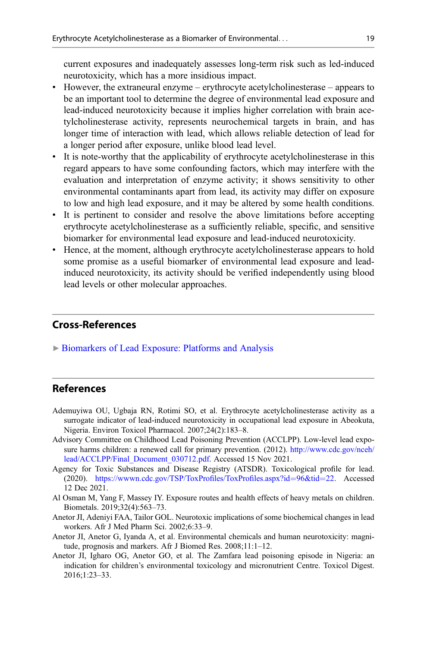<span id="page-18-0"></span>current exposures and inadequately assesses long-term risk such as led-induced neurotoxicity, which has a more insidious impact.

- However, the extraneural enzyme erythrocyte acetylcholinesterase appears to be an important tool to determine the degree of environmental lead exposure and lead-induced neurotoxicity because it implies higher correlation with brain acetylcholinesterase activity, represents neurochemical targets in brain, and has longer time of interaction with lead, which allows reliable detection of lead for a longer period after exposure, unlike blood lead level.
- It is note-worthy that the applicability of erythrocyte acetylcholinesterase in this regard appears to have some confounding factors, which may interfere with the evaluation and interpretation of enzyme activity; it shows sensitivity to other environmental contaminants apart from lead, its activity may differ on exposure to low and high lead exposure, and it may be altered by some health conditions.
- It is pertinent to consider and resolve the above limitations before accepting erythrocyte acetylcholinesterase as a sufficiently reliable, specific, and sensitive biomarker for environmental lead exposure and lead-induced neurotoxicity.
- Hence, at the moment, although erythrocyte acetylcholinesterase appears to hold some promise as a useful biomarker of environmental lead exposure and leadinduced neurotoxicity, its activity should be verified independently using blood lead levels or other molecular approaches.

## Cross-References

▶ [Biomarkers of Lead Exposure: Platforms and Analysis](http://link.springer.com/search?facet-eisbn=978-3-030-87225-0&facet-content-type=ReferenceWorkEntry&query=Biomarkers of Lead Exposure: Platforms and Analysis)

## References

- Ademuyiwa OU, Ugbaja RN, Rotimi SO, et al. Erythrocyte acetylcholinesterase activity as a surrogate indicator of lead-induced neurotoxicity in occupational lead exposure in Abeokuta, Nigeria. Environ Toxicol Pharmacol. 2007;24(2):183–8.
- Advisory Committee on Childhood Lead Poisoning Prevention (ACCLPP). Low-level lead exposure harms children: a renewed call for primary prevention. (2012). [http://www.cdc.gov/nceh/](http://www.cdc.gov/nceh/lead/ACCLPP/Final_Document_030712.pdf) [lead/ACCLPP/Final\\_Document\\_030712.pdf.](http://www.cdc.gov/nceh/lead/ACCLPP/Final_Document_030712.pdf) Accessed 15 Nov 2021.
- Agency for Toxic Substances and Disease Registry (ATSDR). Toxicological profile for lead. (2020). [https://wwwn.cdc.gov/TSP/ToxPro](https://wwwn.cdc.gov/TSP/ToxProfiles/ToxProfiles.aspx?id=96&tid=22)files/ToxProfiles.aspx?id=[96&tid](https://wwwn.cdc.gov/TSP/ToxProfiles/ToxProfiles.aspx?id=96&tid=22)=[22](https://wwwn.cdc.gov/TSP/ToxProfiles/ToxProfiles.aspx?id=96&tid=22). Accessed 12 Dec 2021.
- Al Osman M, Yang F, Massey IY. Exposure routes and health effects of heavy metals on children. Biometals. 2019;32(4):563–73.
- Anetor JI, Adeniyi FAA, Tailor GOL. Neurotoxic implications of some biochemical changes in lead workers. Afr J Med Pharm Sci. 2002;6:33–9.
- Anetor JI, Anetor G, Iyanda A, et al. Environmental chemicals and human neurotoxicity: magnitude, prognosis and markers. Afr J Biomed Res. 2008;11:1–12.
- Anetor JI, Igharo OG, Anetor GO, et al. The Zamfara lead poisoning episode in Nigeria: an indication for children's environmental toxicology and micronutrient Centre. Toxicol Digest. 2016;1:23–33.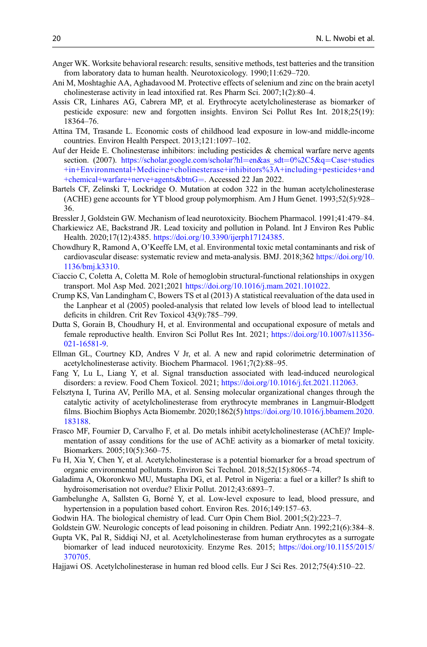- <span id="page-19-0"></span>Anger WK. Worksite behavioral research: results, sensitive methods, test batteries and the transition from laboratory data to human health. Neurotoxicology. 1990;11:629–720.
- Ani M, Moshtaghie AA, Aghadavood M. Protective effects of selenium and zinc on the brain acetyl cholinesterase activity in lead intoxified rat. Res Pharm Sci. 2007;1(2):80–4.
- Assis CR, Linhares AG, Cabrera MP, et al. Erythrocyte acetylcholinesterase as biomarker of pesticide exposure: new and forgotten insights. Environ Sci Pollut Res Int. 2018;25(19): 18364–76.
- Attina TM, Trasande L. Economic costs of childhood lead exposure in low-and middle-income countries. Environ Health Perspect. 2013;121:1097–102.
- Auf der Heide E. Cholinesterase inhibitors: including pesticides & chemical warfare nerve agents section. (2007). [https://scholar.google.com/scholar?hl](https://scholar.google.com/scholar?hl=en&as_sdt=0%2C5&q=Case+studies+in+Environmental+Medicine+cholinesterase+inhibitors%3A+including+pesticides+and+chemical+warfare+nerve+agents&btnG=)=[en&as\\_sdt](https://scholar.google.com/scholar?hl=en&as_sdt=0%2C5&q=Case+studies+in+Environmental+Medicine+cholinesterase+inhibitors%3A+including+pesticides+and+chemical+warfare+nerve+agents&btnG=)=[0%2C5&q](https://scholar.google.com/scholar?hl=en&as_sdt=0%2C5&q=Case+studies+in+Environmental+Medicine+cholinesterase+inhibitors%3A+including+pesticides+and+chemical+warfare+nerve+agents&btnG=)=[Case+studies](https://scholar.google.com/scholar?hl=en&as_sdt=0%2C5&q=Case+studies+in+Environmental+Medicine+cholinesterase+inhibitors%3A+including+pesticides+and+chemical+warfare+nerve+agents&btnG=) [+in+Environmental+Medicine+cholinesterase+inhibitors%3A+including+pesticides+and](https://scholar.google.com/scholar?hl=en&as_sdt=0%2C5&q=Case+studies+in+Environmental+Medicine+cholinesterase+inhibitors%3A+including+pesticides+and+chemical+warfare+nerve+agents&btnG=) [+chemical+warfare+nerve+agents&btnG](https://scholar.google.com/scholar?hl=en&as_sdt=0%2C5&q=Case+studies+in+Environmental+Medicine+cholinesterase+inhibitors%3A+including+pesticides+and+chemical+warfare+nerve+agents&btnG=)=. Accessed 22 Jan 2022.
- Bartels CF, Zelinski T, Lockridge O. Mutation at codon 322 in the human acetylcholinesterase (ACHE) gene accounts for YT blood group polymorphism. Am J Hum Genet. 1993;52(5):928– 36.
- Bressler J, Goldstein GW. Mechanism of lead neurotoxicity. Biochem Pharmacol. 1991;41:479–84.
- Charkiewicz AE, Backstrand JR. Lead toxicity and pollution in Poland. Int J Environ Res Public Health. 2020;17(12):4385. [https://doi.org/10.3390/ijerph17124385.](https://doi.org/10.3390/ijerph17124385)
- Chowdhury R, Ramond A, O'Keeffe LM, et al. Environmental toxic metal contaminants and risk of cardiovascular disease: systematic review and meta-analysis. BMJ. 2018;362 [https://doi.org/10.](https://doi.org/10.1136/bmj.k3310) [1136/bmj.k3310](https://doi.org/10.1136/bmj.k3310).
- Ciaccio C, Coletta A, Coletta M. Role of hemoglobin structural-functional relationships in oxygen transport. Mol Asp Med. 2021;2021 [https://doi.org/10.1016/j.mam.2021.101022.](https://doi.org/10.1016/j.mam.2021.101022)
- Crump KS, Van Landingham C, Bowers TS et al (2013) A statistical reevaluation of the data used in the Lanphear et al (2005) pooled-analysis that related low levels of blood lead to intellectual deficits in children. Crit Rev Toxicol 43(9):785–799.
- Dutta S, Gorain B, Choudhury H, et al. Environmental and occupational exposure of metals and female reproductive health. Environ Sci Pollut Res Int. 2021; [https://doi.org/10.1007/s11356-](https://doi.org/10.1007/s11356-021-16581-9) [021-16581-9](https://doi.org/10.1007/s11356-021-16581-9).
- Ellman GL, Courtney KD, Andres V Jr, et al. A new and rapid colorimetric determination of acetylcholinesterase activity. Biochem Pharmacol. 1961;7(2):88–95.
- Fang Y, Lu L, Liang Y, et al. Signal transduction associated with lead-induced neurological disorders: a review. Food Chem Toxicol. 2021; [https://doi.org/10.1016/j.fct.2021.112063.](https://doi.org/10.1016/j.fct.2021.112063)
- Felsztyna I, Turina AV, Perillo MA, et al. Sensing molecular organizational changes through the catalytic activity of acetylcholinesterase from erythrocyte membranes in Langmuir-Blodgett films. Biochim Biophys Acta Biomembr. 2020;1862(5) [https://doi.org/10.1016/j.bbamem.2020.](https://doi.org/10.1016/j.bbamem.2020.183188) [183188](https://doi.org/10.1016/j.bbamem.2020.183188).
- Frasco MF, Fournier D, Carvalho F, et al. Do metals inhibit acetylcholinesterase (AChE)? Implementation of assay conditions for the use of AChE activity as a biomarker of metal toxicity. Biomarkers. 2005;10(5):360–75.
- Fu H, Xia Y, Chen Y, et al. Acetylcholinesterase is a potential biomarker for a broad spectrum of organic environmental pollutants. Environ Sci Technol. 2018;52(15):8065–74.
- Galadima A, Okoronkwo MU, Mustapha DG, et al. Petrol in Nigeria: a fuel or a killer? Is shift to hydroisomerisation not overdue? Elixir Pollut. 2012;43:6893–7.
- Gambelunghe A, Sallsten G, Borné Y, et al. Low-level exposure to lead, blood pressure, and hypertension in a population based cohort. Environ Res. 2016;149:157–63.
- Godwin HA. The biological chemistry of lead. Curr Opin Chem Biol. 2001;5(2):223–7.
- Goldstein GW. Neurologic concepts of lead poisoning in children. Pediatr Ann. 1992;21(6):384–8.
- Gupta VK, Pal R, Siddiqi NJ, et al. Acetylcholinesterase from human erythrocytes as a surrogate biomarker of lead induced neurotoxicity. Enzyme Res. 2015; [https://doi.org/10.1155/2015/](https://doi.org/10.1155/2015/370705) [370705](https://doi.org/10.1155/2015/370705).
- Hajjawi OS. Acetylcholinesterase in human red blood cells. Eur J Sci Res. 2012;75(4):510–22.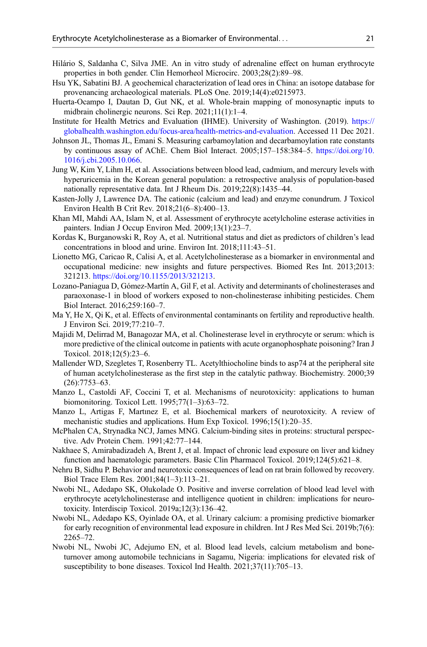- <span id="page-20-0"></span>Hilário S, Saldanha C, Silva JME. An in vitro study of adrenaline effect on human erythrocyte properties in both gender. Clin Hemorheol Microcirc. 2003;28(2):89–98.
- Hsu YK, Sabatini BJ. A geochemical characterization of lead ores in China: an isotope database for provenancing archaeological materials. PLoS One. 2019;14(4):e0215973.
- Huerta-Ocampo I, Dautan D, Gut NK, et al. Whole-brain mapping of monosynaptic inputs to midbrain cholinergic neurons. Sci Rep. 2021;11(1):1–4.
- Institute for Health Metrics and Evaluation (IHME). University of Washington. (2019). [https://](https://globalhealth.washington.edu/focus-area/health-metrics-and-evaluation) [globalhealth.washington.edu/focus-area/health-metrics-and-evaluation](https://globalhealth.washington.edu/focus-area/health-metrics-and-evaluation). Accessed 11 Dec 2021.
- Johnson JL, Thomas JL, Emani S. Measuring carbamoylation and decarbamoylation rate constants by continuous assay of AChE. Chem Biol Interact. 2005;157–158:384–5. [https://doi.org/10.](https://doi.org/10.1016/j.cbi.2005.10.066) [1016/j.cbi.2005.10.066](https://doi.org/10.1016/j.cbi.2005.10.066).
- Jung W, Kim Y, Lihm H, et al. Associations between blood lead, cadmium, and mercury levels with hyperuricemia in the Korean general population: a retrospective analysis of population-based nationally representative data. Int J Rheum Dis. 2019;22(8):1435–44.
- Kasten-Jolly J, Lawrence DA. The cationic (calcium and lead) and enzyme conundrum. J Toxicol Environ Health B Crit Rev. 2018;21(6–8):400–13.
- Khan MI, Mahdi AA, Islam N, et al. Assessment of erythrocyte acetylcholine esterase activities in painters. Indian J Occup Environ Med. 2009;13(1):23–7.
- Kordas K, Burganowski R, Roy A, et al. Nutritional status and diet as predictors of children's lead concentrations in blood and urine. Environ Int. 2018;111:43–51.
- Lionetto MG, Caricao R, Calisi A, et al. Acetylcholinesterase as a biomarker in environmental and occupational medicine: new insights and future perspectives. Biomed Res Int. 2013;2013: 321213. <https://doi.org/10.1155/2013/321213>.
- Lozano-Paniagua D, Gómez-Martín A, Gil F, et al. Activity and determinants of cholinesterases and paraoxonase-1 in blood of workers exposed to non-cholinesterase inhibiting pesticides. Chem Biol Interact. 2016;259:160–7.
- Ma Y, He X, Qi K, et al. Effects of environmental contaminants on fertility and reproductive health. J Environ Sci. 2019;77:210–7.
- Majidi M, Delirrad M, Banagozar MA, et al. Cholinesterase level in erythrocyte or serum: which is more predictive of the clinical outcome in patients with acute organophosphate poisoning? Iran J Toxicol. 2018;12(5):23–6.
- Mallender WD, Szegletes T, Rosenberry TL. Acetylthiocholine binds to asp74 at the peripheral site of human acetylcholinesterase as the first step in the catalytic pathway. Biochemistry. 2000;39 (26):7753–63.
- Manzo L, Castoldi AF, Coccini T, et al. Mechanisms of neurotoxicity: applications to human biomonitoring. Toxicol Lett. 1995;77(1–3):63–72.
- Manzo L, Artigas F, Martınez E, et al. Biochemical markers of neurotoxicity. A review of mechanistic studies and applications. Hum Exp Toxicol. 1996;15(1):20–35.
- McPhalen CA, Strynadka NCJ, James MNG. Calcium-binding sites in proteins: structural perspective. Adv Protein Chem. 1991;42:77–144.
- Nakhaee S, Amirabadizadeh A, Brent J, et al. Impact of chronic lead exposure on liver and kidney function and haematologic parameters. Basic Clin Pharmacol Toxicol. 2019;124(5):621–8.
- Nehru B, Sidhu P. Behavior and neurotoxic consequences of lead on rat brain followed by recovery. Biol Trace Elem Res. 2001;84(1–3):113–21.
- Nwobi NL, Adedapo SK, Olukolade O. Positive and inverse correlation of blood lead level with erythrocyte acetylcholinesterase and intelligence quotient in children: implications for neurotoxicity. Interdiscip Toxicol. 2019a;12(3):136–42.
- Nwobi NL, Adedapo KS, Oyinlade OA, et al. Urinary calcium: a promising predictive biomarker for early recognition of environmental lead exposure in children. Int J Res Med Sci. 2019b;7(6): 2265–72.
- Nwobi NL, Nwobi JC, Adejumo EN, et al. Blood lead levels, calcium metabolism and boneturnover among automobile technicians in Sagamu, Nigeria: implications for elevated risk of susceptibility to bone diseases. Toxicol Ind Health. 2021;37(11):705–13.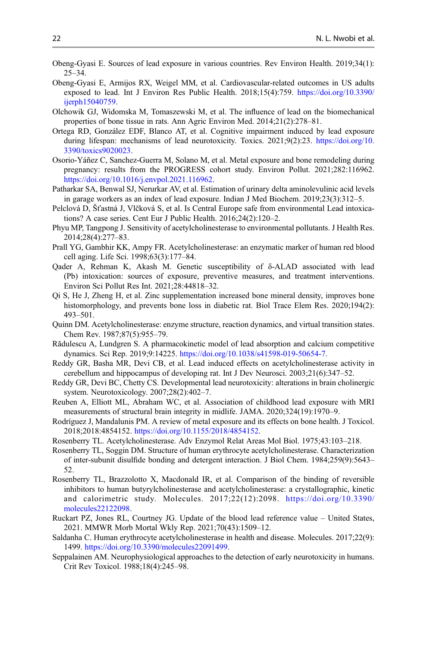- <span id="page-21-0"></span>Obeng-Gyasi E. Sources of lead exposure in various countries. Rev Environ Health. 2019;34(1):  $25 - 34$ .
- Obeng-Gyasi E, Armijos RX, Weigel MM, et al. Cardiovascular-related outcomes in US adults exposed to lead. Int J Environ Res Public Health. 2018;15(4):759. [https://doi.org/10.3390/](https://doi.org/10.3390/ijerph15040759) [ijerph15040759](https://doi.org/10.3390/ijerph15040759).
- Olchowik GJ, Widomska M, Tomaszewski M, et al. The influence of lead on the biomechanical properties of bone tissue in rats. Ann Agric Environ Med. 2014;21(2):278–81.
- Ortega RD, González EDF, Blanco AT, et al. Cognitive impairment induced by lead exposure during lifespan: mechanisms of lead neurotoxicity. Toxics. 2021;9(2):23. [https://doi.org/10.](https://doi.org/10.3390/toxics9020023) [3390/toxics9020023.](https://doi.org/10.3390/toxics9020023)
- Osorio-Yáñez C, Sanchez-Guerra M, Solano M, et al. Metal exposure and bone remodeling during pregnancy: results from the PROGRESS cohort study. Environ Pollut. 2021;282:116962. [https://doi.org/10.1016/j.envpol.2021.116962.](https://doi.org/10.1016/j.envpol.2021.116962)
- Patharkar SA, Benwal SJ, Nerurkar AV, et al. Estimation of urinary delta aminolevulinic acid levels in garage workers as an index of lead exposure. Indian J Med Biochem. 2019;23(3):312–5.
- Pelclová D, Šťastná J, Vlčková S, et al. Is Central Europe safe from environmental Lead intoxications? A case series. Cent Eur J Public Health. 2016;24(2):120–2.
- Phyu MP, Tangpong J. Sensitivity of acetylcholinesterase to environmental pollutants. J Health Res. 2014;28(4):277–83.
- Prall YG, Gambhir KK, Ampy FR. Acetylcholinesterase: an enzymatic marker of human red blood cell aging. Life Sci. 1998;63(3):177–84.
- Qader A, Rehman K, Akash M. Genetic susceptibility of δ-ALAD associated with lead (Pb) intoxication: sources of exposure, preventive measures, and treatment interventions. Environ Sci Pollut Res Int. 2021;28:44818–32.
- Qi S, He J, Zheng H, et al. Zinc supplementation increased bone mineral density, improves bone histomorphology, and prevents bone loss in diabetic rat. Biol Trace Elem Res. 2020;194(2): 493–501.
- Quinn DM. Acetylcholinesterase: enzyme structure, reaction dynamics, and virtual transition states. Chem Rev. 1987;87(5):955–79.
- Rădulescu A, Lundgren S. A pharmacokinetic model of lead absorption and calcium competitive dynamics. Sci Rep. 2019;9:14225. <https://doi.org/10.1038/s41598-019-50654-7>.
- Reddy GR, Basha MR, Devi CB, et al. Lead induced effects on acetylcholinesterase activity in cerebellum and hippocampus of developing rat. Int J Dev Neurosci. 2003;21(6):347–52.
- Reddy GR, Devi BC, Chetty CS. Developmental lead neurotoxicity: alterations in brain cholinergic system. Neurotoxicology. 2007;28(2):402–7.
- Reuben A, Elliott ML, Abraham WC, et al. Association of childhood lead exposure with MRI measurements of structural brain integrity in midlife. JAMA. 2020;324(19):1970–9.
- Rodríguez J, Mandalunis PM. A review of metal exposure and its effects on bone health. J Toxicol. 2018;2018:4854152. <https://doi.org/10.1155/2018/4854152>.
- Rosenberry TL. Acetylcholinesterase. Adv Enzymol Relat Areas Mol Biol. 1975;43:103–218.
- Rosenberry TL, Soggin DM. Structure of human erythrocyte acetylcholinesterase. Characterization of inter-subunit disulfide bonding and detergent interaction. J Biol Chem. 1984;259(9):5643– 52.
- Rosenberry TL, Brazzolotto X, Macdonald IR, et al. Comparison of the binding of reversible inhibitors to human butyrylcholinesterase and acetylcholinesterase: a crystallographic, kinetic and calorimetric study. Molecules. 2017;22(12):2098. [https://doi.org/10.3390/](https://doi.org/10.3390/molecules22122098) [molecules22122098.](https://doi.org/10.3390/molecules22122098)
- Ruckart PZ, Jones RL, Courtney JG. Update of the blood lead reference value United States, 2021. MMWR Morb Mortal Wkly Rep. 2021;70(43):1509–12.
- Saldanha C. Human erythrocyte acetylcholinesterase in health and disease. Molecules. 2017;22(9): 1499. <https://doi.org/10.3390/molecules22091499>.
- Seppalainen AM. Neurophysiological approaches to the detection of early neurotoxicity in humans. Crit Rev Toxicol. 1988;18(4):245–98.